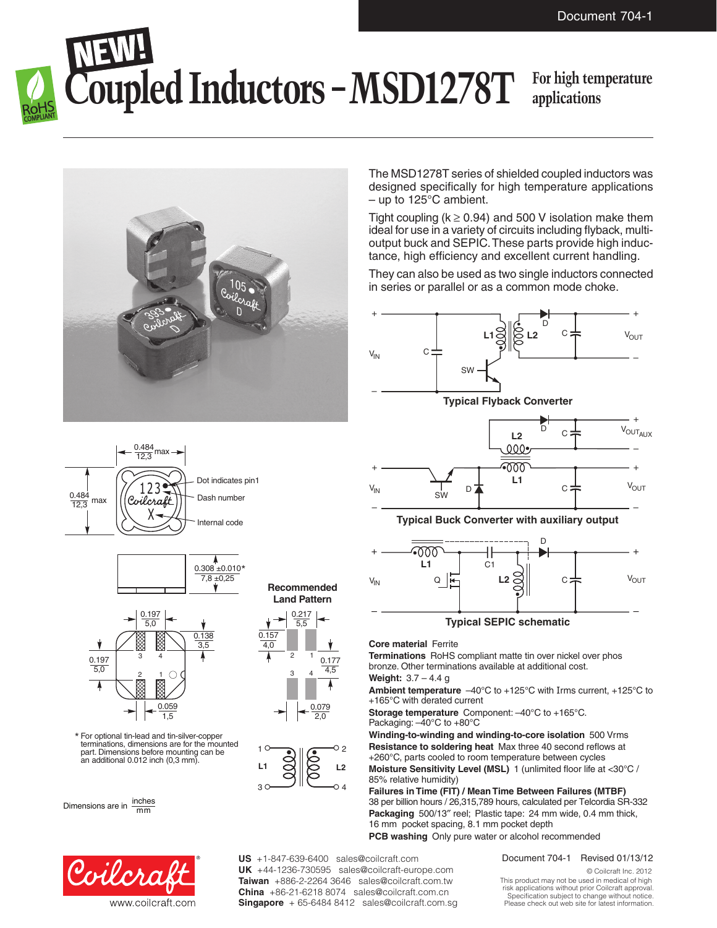# **Foupled Inductors – MSD1278T**

### **applications**



The MSD1278T series of shielded coupled inductors was designed specifically for high temperature applications – up to 125°C ambient.

Tight coupling ( $k \ge 0.94$ ) and 500 V isolation make them ideal for use in a variety of circuits including flyback, multioutput buck and SEPIC. These parts provide high inductance, high efficiency and excellent current handling.

They can also be used as two single inductors connected in series or parallel or as a common mode choke.



**Terminations** RoHS compliant matte tin over nickel over phos bronze. Other terminations available at additional cost.

**Weight:** 3.7 – 4.4 g

**Ambient temperature** –40°C to +125°C with Irms current, +125°C to +165°C with derated current

**Storage temperature** Component: –40°C to +165°C. Packaging: –40°C to +80°C

**Winding-to-winding and winding-to-core isolation** 500 Vrms **Resistance to soldering heat** Max three 40 second reflows at +260°C, parts cooled to room temperature between cycles **Moisture Sensitivity Level (MSL)** 1 (unlimited floor life at <30°C / 85% relative humidity)

**Failures in Time (FIT) / Mean Time Between Failures (MTBF)** 38 per billion hours / 26,315,789 hours, calculated per Telcordia SR-332 **Packaging** 500/13″ reel; Plastic tape: 24 mm wide, 0.4 mm thick, 16 mm pocket spacing, 8.1 mm pocket depth **PCB washing** Only pure water or alcohol recommended

Document 704-1 Revised 01/13/12

© Coilcraft Inc. 2012 This product may not be used in medical of high risk applications without prior Coilcraft approval. Specification subject to change without notice. Please check out web site for latest information.







For optional tin-lead and tin-silver-copper \* terminations, dimensions are for the mounted<br>part. Dimensions before mounting can be an additional  $0.012$  inch  $(0,3 \text{ mm})$ .

Dimensions are in  $\frac{\text{inches}}{\text{mm}}$ 



**Recommended**





**US** +1-847-639-6400 sales@coilcraft.com **UK** +44-1236-730595 sales@coilcraft-europe.com **Taiwan** +886-2-2264 3646 sales@coilcraft.com.tw **China** +86-21-6218 8074 sales@coilcraft.com.cn **Singapore** + 65-6484 8412 sales@coilcraft.com.sg

### **Land Pattern**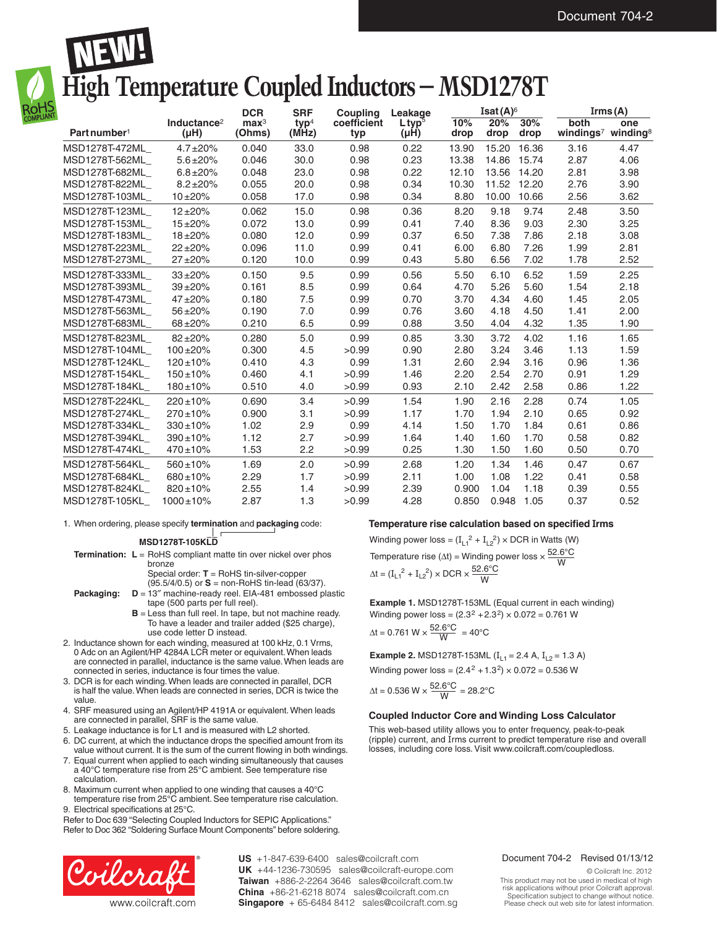## **High Temperature Coupled Inductors – MSD1278T**

|                          |                                      | <b>DCR</b>                 | <b>SRF</b>                | Couplina           | Leakage              | Isat $(A)$ <sup>6</sup> |             |             | Irms(A)                                            |      |
|--------------------------|--------------------------------------|----------------------------|---------------------------|--------------------|----------------------|-------------------------|-------------|-------------|----------------------------------------------------|------|
| Part number <sup>1</sup> | Inductance <sup>2</sup><br>$(\mu H)$ | $\mathbf{max}^3$<br>(Ohms) | tvp <sup>4</sup><br>(MHz) | coefficient<br>typ | $L$ tv $p^5$<br>(µH) | 10%<br>drop             | 20%<br>drop | 30%<br>drop | both<br>windings <sup>7</sup> winding <sup>8</sup> | one  |
| MSD1278T-472ML           | $4.7 \pm 20\%$                       | 0.040                      | 33.0                      | 0.98               | 0.22                 | 13.90                   | 15.20       | 16.36       | 3.16                                               | 4.47 |
| MSD1278T-562ML           | $5.6 \pm 20\%$                       | 0.046                      | 30.0                      | 0.98               | 0.23                 | 13.38                   | 14.86       | 15.74       | 2.87                                               | 4.06 |
| MSD1278T-682ML           | $6.8 \pm 20\%$                       | 0.048                      | 23.0                      | 0.98               | 0.22                 | 12.10                   | 13.56       | 14.20       | 2.81                                               | 3.98 |
| MSD1278T-822ML           | $8.2 \pm 20\%$                       | 0.055                      | 20.0                      | 0.98               | 0.34                 | 10.30                   | 11.52       | 12.20       | 2.76                                               | 3.90 |
| MSD1278T-103ML           | $10 + 20%$                           | 0.058                      | 17.0                      | 0.98               | 0.34                 | 8.80                    | 10.00       | 10.66       | 2.56                                               | 3.62 |
| MSD1278T-123ML           | $12 + 20%$                           | 0.062                      | 15.0                      | 0.98               | 0.36                 | 8.20                    | 9.18        | 9.74        | 2.48                                               | 3.50 |
| MSD1278T-153ML           | $15 + 20%$                           | 0.072                      | 13.0                      | 0.99               | 0.41                 | 7.40                    | 8.36        | 9.03        | 2.30                                               | 3.25 |
| MSD1278T-183ML           | $18 + 20%$                           | 0.080                      | 12.0                      | 0.99               | 0.37                 | 6.50                    | 7.38        | 7.86        | 2.18                                               | 3.08 |
| MSD1278T-223ML           | $22 + 20%$                           | 0.096                      | 11.0                      | 0.99               | 0.41                 | 6.00                    | 6.80        | 7.26        | 1.99                                               | 2.81 |
| MSD1278T-273ML           | $27 + 20%$                           | 0.120                      | 10.0                      | 0.99               | 0.43                 | 5.80                    | 6.56        | 7.02        | 1.78                                               | 2.52 |
| MSD1278T-333ML           | $33 + 20%$                           | 0.150                      | 9.5                       | 0.99               | 0.56                 | 5.50                    | 6.10        | 6.52        | 1.59                                               | 2.25 |
| MSD1278T-393ML           | $39 + 20%$                           | 0.161                      | 8.5                       | 0.99               | 0.64                 | 4.70                    | 5.26        | 5.60        | 1.54                                               | 2.18 |
| MSD1278T-473ML           | $47 + 20%$                           | 0.180                      | 7.5                       | 0.99               | 0.70                 | 3.70                    | 4.34        | 4.60        | 1.45                                               | 2.05 |
| MSD1278T-563ML_          | 56±20%                               | 0.190                      | 7.0                       | 0.99               | 0.76                 | 3.60                    | 4.18        | 4.50        | 1.41                                               | 2.00 |
| MSD1278T-683ML           | $68 + 20%$                           | 0.210                      | 6.5                       | 0.99               | 0.88                 | 3.50                    | 4.04        | 4.32        | 1.35                                               | 1.90 |
| MSD1278T-823ML           | $82 + 20%$                           | 0.280                      | 5.0                       | 0.99               | 0.85                 | 3.30                    | 3.72        | 4.02        | 1.16                                               | 1.65 |
| MSD1278T-104ML           | $100 + 20%$                          | 0.300                      | 4.5                       | >0.99              | 0.90                 | 2.80                    | 3.24        | 3.46        | 1.13                                               | 1.59 |
| MSD1278T-124KL           | $120 \pm 10\%$                       | 0.410                      | 4.3                       | 0.99               | 1.31                 | 2.60                    | 2.94        | 3.16        | 0.96                                               | 1.36 |
| MSD1278T-154KL           | $150 \pm 10\%$                       | 0.460                      | 4.1                       | >0.99              | 1.46                 | 2.20                    | 2.54        | 2.70        | 0.91                                               | 1.29 |
| MSD1278T-184KL           | $180 \pm 10\%$                       | 0.510                      | 4.0                       | >0.99              | 0.93                 | 2.10                    | 2.42        | 2.58        | 0.86                                               | 1.22 |
| MSD1278T-224KL           | $220 \pm 10\%$                       | 0.690                      | 3.4                       | >0.99              | 1.54                 | 1.90                    | 2.16        | 2.28        | 0.74                                               | 1.05 |
| MSD1278T-274KL           | $270 \pm 10\%$                       | 0.900                      | 3.1                       | >0.99              | 1.17                 | 1.70                    | 1.94        | 2.10        | 0.65                                               | 0.92 |
| MSD1278T-334KL           | $330 \pm 10\%$                       | 1.02                       | 2.9                       | 0.99               | 4.14                 | 1.50                    | 1.70        | 1.84        | 0.61                                               | 0.86 |
| MSD1278T-394KL           | $390 \pm 10\%$                       | 1.12                       | 2.7                       | >0.99              | 1.64                 | 1.40                    | 1.60        | 1.70        | 0.58                                               | 0.82 |
| MSD1278T-474KL           | $470 \pm 10\%$                       | 1.53                       | 2.2                       | >0.99              | 0.25                 | 1.30                    | 1.50        | 1.60        | 0.50                                               | 0.70 |
| MSD1278T-564KL           | $560 \pm 10\%$                       | 1.69                       | 2.0                       | >0.99              | 2.68                 | 1.20                    | 1.34        | 1.46        | 0.47                                               | 0.67 |
| MSD1278T-684KL           | $680 \pm 10\%$                       | 2.29                       | 1.7                       | >0.99              | 2.11                 | 1.00                    | 1.08        | 1.22        | 0.41                                               | 0.58 |
| MSD1278T-824KL           | $820 \pm 10\%$                       | 2.55                       | 1.4                       | >0.99              | 2.39                 | 0.900                   | 1.04        | 1.18        | 0.39                                               | 0.55 |
| MSD1278T-105KL           | $1000 \pm 10\%$                      | 2.87                       | 1.3                       | >0.99              | 4.28                 | 0.850                   | 0.948       | 1.05        | 0.37                                               | 0.52 |

1. When ordering, please specify **termination** and **packaging** code:

**MSD1278T-105KLD**

- **Termination: L** = RoHS compliant matte tin over nickel over phos bronze
	- Special order: **T** = RoHS tin-silver-copper
- (95.5/4/0.5) or **S** = non-RoHS tin-lead (63/37). **Packaging: D** = 13″ machine-ready reel. EIA-481 embossed plastic tape (500 parts per full reel).
	- **B** = Less than full reel. In tape, but not machine ready. To have a leader and trailer added (\$25 charge), use code letter D instead.
- 2. Inductance shown for each winding, measured at 100 kHz, 0.1 Vrms, 0 Adc on an Agilent/HP 4284A LCR meter or equivalent. When leads are connected in parallel, inductance is the same value. When leads are connected in series, inductance is four times the value.
- 3. DCR is for each winding. When leads are connected in parallel, DCR is half the value. When leads are connected in series, DCR is twice the value.
- 4. SRF measured using an Agilent/HP 4191A or equivalent. When leads are connected in parallel, SRF is the same value.
- 5. Leakage inductance is for L1 and is measured with L2 shorted.
- 6. DC current, at which the inductance drops the specified amount from its value without current. It is the sum of the current flowing in both windings.
- 7. Equal current when applied to each winding simultaneously that causes a 40°C temperature rise from 25°C ambient. See temperature rise calculation.
- 8. Maximum current when applied to one winding that causes a 40°C
- temperature rise from 25°C ambient. See temperature rise calculation. 9. Electrical specifications at 25°C.

Refer to Doc 639 "Selecting Coupled Inductors for SEPIC Applications." Refer to Doc 362 "Soldering Surface Mount Components" before soldering.



**US** +1-847-639-6400 sales@coilcraft.com **UK** +44-1236-730595 sales@coilcraft-europe.com **Taiwan** +886-2-2264 3646 sales@coilcraft.com.tw **China** +86-21-6218 8074 sales@coilcraft.com.cn **Singapore** + 65-6484 8412 sales@coilcraft.com.sg

#### **Temperature rise calculation based on specified Irms**

Temperature rise ( $\Delta t$ ) = Winding power loss  $\times \frac{52.6^{\circ}\text{C}}{\text{W}}$  $\Delta t = (I_{L1}^2 + I_{L2}^2) \times DCR \times \frac{52.6^{\circ}C}{W}$ Winding power loss =  $(I_{L1}^2 + I_{L2}^2) \times DCR$  in Watts (W)

**Example 1.** MSD1278T-153ML (Equal current in each winding) Winding power loss =  $(2.3^2 + 2.3^2) \times 0.072 = 0.761$  W  $\Delta t = 0.761 \text{ W} \times \frac{52.6^{\circ}\text{C}}{\text{W}} = 40^{\circ}\text{C}$ 

**Example 2.** MSD1278T-153ML (I<sub>L1</sub> = 2.4 A, I<sub>L2</sub> = 1.3 A) Winding power loss =  $(2.4^2 + 1.3^2) \times 0.072 = 0.536$  W

$$
\Delta t = 0.536 \text{ W} \times \frac{52.6^{\circ}\text{C}}{\text{W}} = 28.2^{\circ}\text{C}
$$

#### **Coupled Inductor Core and Winding Loss Calculator**

This web-based utility allows you to enter frequency, peak-to-peak (ripple) current, and Irms current to predict temperature rise and overall losses, including core loss. Visit www.coilcraft.com/coupledloss.

#### Document 704-2 Revised 01/13/12

© Coilcraft Inc. 2012 This product may not be used in medical of high risk applications without prior Coilcraft approval. Specification subject to change without notice. Please check out web site for latest information.